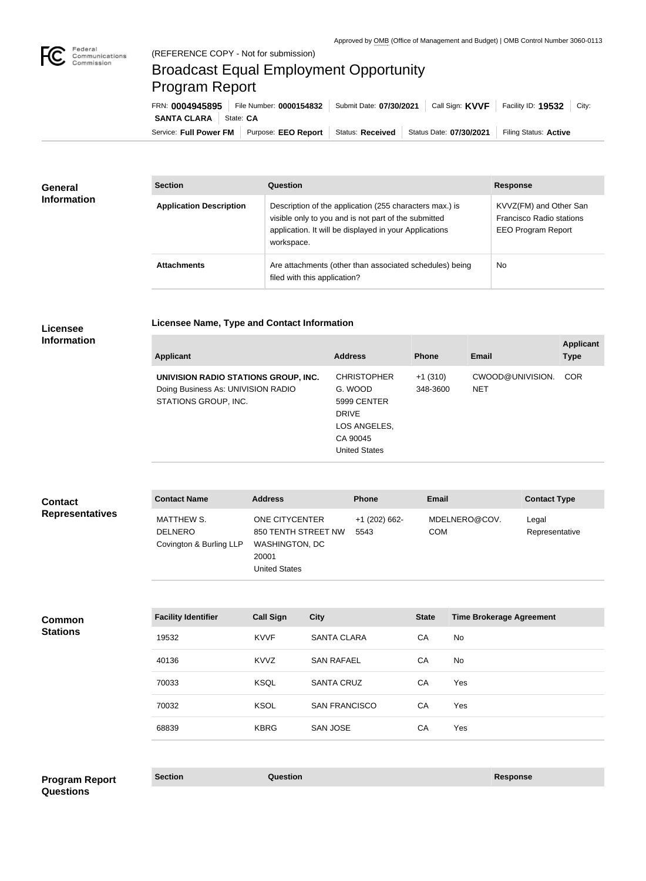

## Broadcast Equal Employment Opportunity Program Report

**Licensee Name, Type and Contact Information**

Service: Full Power FM | Purpose: EEO Report | Status: Received | Status Date: 07/30/2021 | Filing Status: Active **SANTA CLARA** State: CA FRN: **0004945895** File Number: **0000154832** Submit Date: **07/30/2021** Call Sign: **KVVF** Facility ID: **19532** City:

| <b>General</b><br><b>Information</b> | <b>Section</b>                 | Question                                                                                                                                                                                | <b>Response</b>                                                                 |
|--------------------------------------|--------------------------------|-----------------------------------------------------------------------------------------------------------------------------------------------------------------------------------------|---------------------------------------------------------------------------------|
|                                      | <b>Application Description</b> | Description of the application (255 characters max.) is<br>visible only to you and is not part of the submitted<br>application. It will be displayed in your Applications<br>workspace. | KVVZ(FM) and Other San<br>Francisco Radio stations<br><b>EEO Program Report</b> |
|                                      | <b>Attachments</b>             | Are attachments (other than associated schedules) being<br>filed with this application?                                                                                                 | <b>No</b>                                                                       |

## **Licensee Information**

| <b>Applicant</b>                                                                                   | <b>Address</b>                                                                                                   | <b>Phone</b>          | Email                          | <b>Applicant</b><br><b>Type</b> |
|----------------------------------------------------------------------------------------------------|------------------------------------------------------------------------------------------------------------------|-----------------------|--------------------------------|---------------------------------|
| UNIVISION RADIO STATIONS GROUP, INC.<br>Doing Business As: UNIVISION RADIO<br>STATIONS GROUP, INC. | <b>CHRISTOPHER</b><br>G. WOOD<br>5999 CENTER<br><b>DRIVE</b><br>LOS ANGELES,<br>CA 90045<br><b>United States</b> | $+1(310)$<br>348-3600 | CWOOD@UNIVISION.<br><b>NET</b> | <b>COR</b>                      |

| <b>Contact</b>         | <b>Contact Name</b>                                     | <b>Address</b>                                                                                         | <b>Phone</b>          | <b>Email</b>                | <b>Contact Type</b>     |
|------------------------|---------------------------------------------------------|--------------------------------------------------------------------------------------------------------|-----------------------|-----------------------------|-------------------------|
| <b>Representatives</b> | MATTHEW S.<br><b>DELNERO</b><br>Covington & Burling LLP | <b>ONE CITYCENTER</b><br>850 TENTH STREET NW<br><b>WASHINGTON, DC</b><br>20001<br><b>United States</b> | +1 (202) 662-<br>5543 | MDELNERO@COV.<br><b>COM</b> | Legal<br>Representative |

| <b>Common</b><br><b>Stations</b> | <b>Facility Identifier</b> | <b>Call Sign</b> | <b>City</b>          | <b>State</b> | <b>Time Brokerage Agreement</b> |
|----------------------------------|----------------------------|------------------|----------------------|--------------|---------------------------------|
|                                  | 19532                      | <b>KVVF</b>      | <b>SANTA CLARA</b>   | CA           | No                              |
|                                  | 40136                      | <b>KVVZ</b>      | <b>SAN RAFAEL</b>    | CA           | No                              |
|                                  | 70033                      | <b>KSQL</b>      | <b>SANTA CRUZ</b>    | CA           | Yes                             |
|                                  | 70032                      | <b>KSOL</b>      | <b>SAN FRANCISCO</b> | CA           | Yes                             |
|                                  | 68839                      | <b>KBRG</b>      | <b>SAN JOSE</b>      | CA           | Yes                             |

## **Section Question Response Program Report Questions**